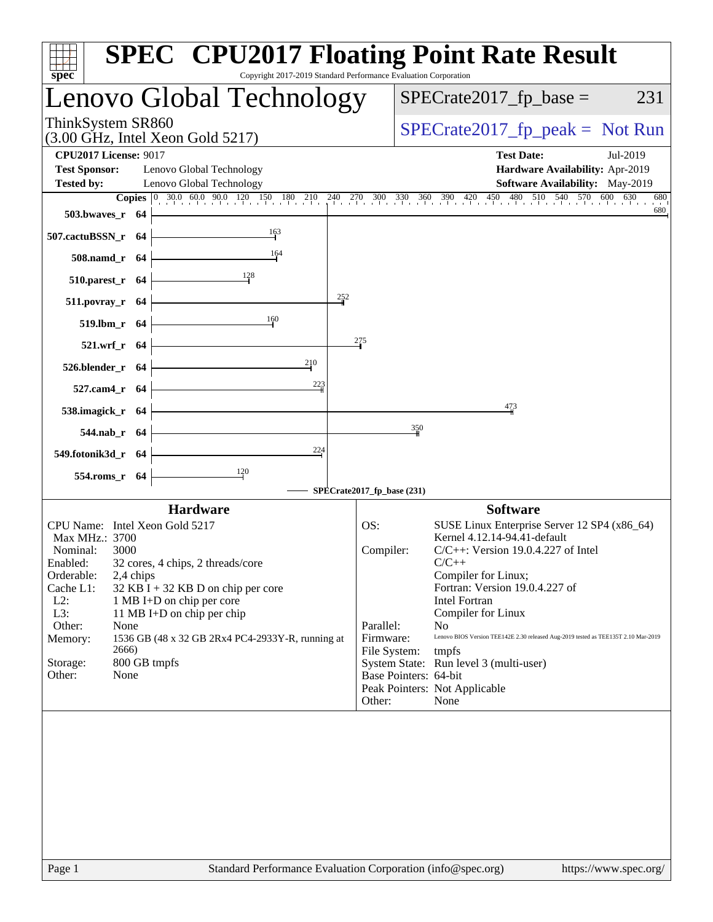| $spec^*$                                                                                                                                                                                                                                                                                                                                                                                                                                     | <b>SPEC<sup>®</sup> CPU2017 Floating Point Rate Result</b><br>Copyright 2017-2019 Standard Performance Evaluation Corporation                                                                                                                                                                                                                                                                                                                                                                                                                            |
|----------------------------------------------------------------------------------------------------------------------------------------------------------------------------------------------------------------------------------------------------------------------------------------------------------------------------------------------------------------------------------------------------------------------------------------------|----------------------------------------------------------------------------------------------------------------------------------------------------------------------------------------------------------------------------------------------------------------------------------------------------------------------------------------------------------------------------------------------------------------------------------------------------------------------------------------------------------------------------------------------------------|
| Lenovo Global Technology                                                                                                                                                                                                                                                                                                                                                                                                                     | $SPECTate2017$ _fp_base =<br>231                                                                                                                                                                                                                                                                                                                                                                                                                                                                                                                         |
| ThinkSystem SR860<br>$(3.00 \text{ GHz}, \text{Intel Xeon Gold } 5217)$                                                                                                                                                                                                                                                                                                                                                                      | $SPECrate2017_fp\_peak = Not Run$                                                                                                                                                                                                                                                                                                                                                                                                                                                                                                                        |
| <b>CPU2017 License: 9017</b><br><b>Test Sponsor:</b><br>Lenovo Global Technology<br><b>Tested by:</b><br>Lenovo Global Technology<br>503.bwaves_r 64                                                                                                                                                                                                                                                                                         | <b>Test Date:</b><br>Jul-2019<br>Hardware Availability: Apr-2019<br>Software Availability: May-2019<br><b>Copies</b> 0 30.0 60.0 90.0 120 150 180 210 240 270 300 330 360 390 420 450 480 510 540 570 600 630<br>680<br>680                                                                                                                                                                                                                                                                                                                              |
| 163<br>507.cactuBSSN_r 64<br>164<br>508.namd_r 64<br>$510.parest_r$ 64                                                                                                                                                                                                                                                                                                                                                                       |                                                                                                                                                                                                                                                                                                                                                                                                                                                                                                                                                          |
| 252<br>511.povray_r 64<br>160<br>519.lbm_r 64<br>521.wrf_r 64<br>210<br>526.blender_r 64                                                                                                                                                                                                                                                                                                                                                     | 275                                                                                                                                                                                                                                                                                                                                                                                                                                                                                                                                                      |
| $\frac{223}{1}$<br>527.cam4_r 64<br>538.imagick_r $64$<br>544.nab_r 64<br>224                                                                                                                                                                                                                                                                                                                                                                | 473<br>350                                                                                                                                                                                                                                                                                                                                                                                                                                                                                                                                               |
| 549.fotonik3d_r 64<br>$\frac{120}{ }$<br>554.roms_r 64                                                                                                                                                                                                                                                                                                                                                                                       | SPECrate2017_fp_base (231)                                                                                                                                                                                                                                                                                                                                                                                                                                                                                                                               |
| <b>Hardware</b><br>CPU Name: Intel Xeon Gold 5217<br>Max MHz.: 3700<br>Nominal:<br>3000<br>32 cores, 4 chips, 2 threads/core<br>Enabled:<br>Orderable:<br>2,4 chips<br>Cache L1:<br>$32$ KB I + 32 KB D on chip per core<br>$L2$ :<br>1 MB I+D on chip per core<br>L3:<br>11 MB I+D on chip per chip<br>Other:<br>None<br>1536 GB (48 x 32 GB 2Rx4 PC4-2933Y-R, running at<br>Memory:<br>2666)<br>Storage:<br>800 GB tmpfs<br>None<br>Other: | <b>Software</b><br>OS:<br>SUSE Linux Enterprise Server 12 SP4 (x86_64)<br>Kernel 4.12.14-94.41-default<br>$C/C++$ : Version 19.0.4.227 of Intel<br>Compiler:<br>$C/C++$<br>Compiler for Linux;<br>Fortran: Version 19.0.4.227 of<br>Intel Fortran<br>Compiler for Linux<br>Parallel:<br>N <sub>0</sub><br>Lenovo BIOS Version TEE142E 2.30 released Aug-2019 tested as TEE135T 2.10 Mar-2019<br>Firmware:<br>File System:<br>tmpfs<br>System State: Run level 3 (multi-user)<br>Base Pointers: 64-bit<br>Peak Pointers: Not Applicable<br>None<br>Other: |
|                                                                                                                                                                                                                                                                                                                                                                                                                                              |                                                                                                                                                                                                                                                                                                                                                                                                                                                                                                                                                          |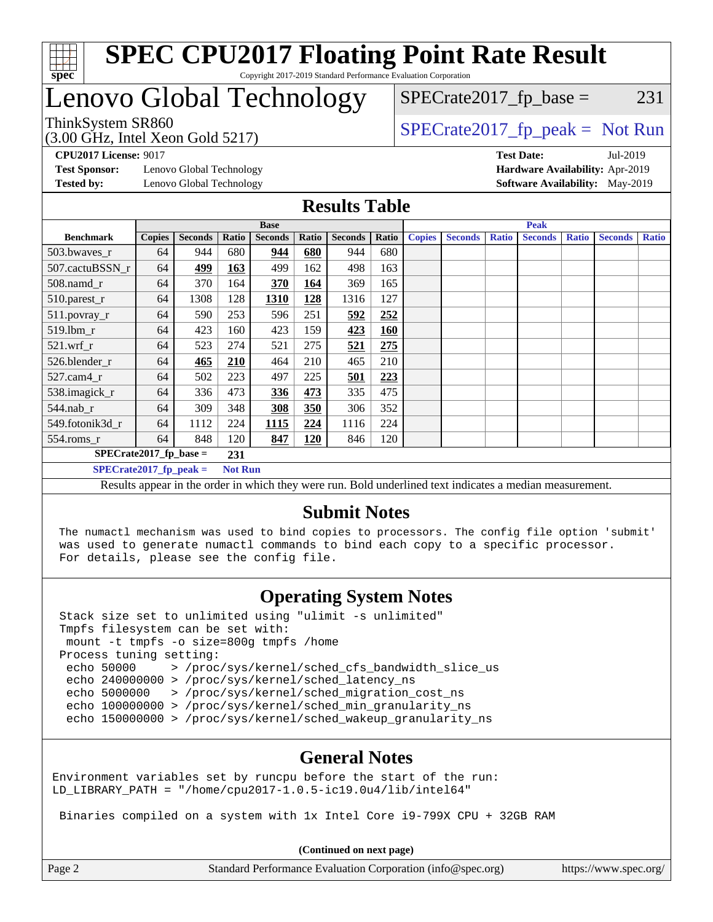

#### **[SPEC CPU2017 Floating Point Rate Result](http://www.spec.org/auto/cpu2017/Docs/result-fields.html#SPECCPU2017FloatingPointRateResult)** Copyright 2017-2019 Standard Performance Evaluation Corporation

# Lenovo Global Technology

(3.00 GHz, Intel Xeon Gold 5217)

ThinkSystem SR860<br>  $(3.00 \text{ GHz. Intel Yoon Gold } 5217)$  [SPECrate2017\\_fp\\_peak =](http://www.spec.org/auto/cpu2017/Docs/result-fields.html#SPECrate2017fppeak) Not Run

 $SPECTate2017<sub>fr</sub> base = 231$ 

**[Test Sponsor:](http://www.spec.org/auto/cpu2017/Docs/result-fields.html#TestSponsor)** Lenovo Global Technology **[Hardware Availability:](http://www.spec.org/auto/cpu2017/Docs/result-fields.html#HardwareAvailability)** Apr-2019

**[CPU2017 License:](http://www.spec.org/auto/cpu2017/Docs/result-fields.html#CPU2017License)** 9017 **[Test Date:](http://www.spec.org/auto/cpu2017/Docs/result-fields.html#TestDate)** Jul-2019 **[Tested by:](http://www.spec.org/auto/cpu2017/Docs/result-fields.html#Testedby)** Lenovo Global Technology **[Software Availability:](http://www.spec.org/auto/cpu2017/Docs/result-fields.html#SoftwareAvailability)** May-2019

#### **[Results Table](http://www.spec.org/auto/cpu2017/Docs/result-fields.html#ResultsTable)**

|                                                                                                          | <b>Base</b>   |                |       |                |       |                |       | <b>Peak</b>   |                |              |                |              |                |              |
|----------------------------------------------------------------------------------------------------------|---------------|----------------|-------|----------------|-------|----------------|-------|---------------|----------------|--------------|----------------|--------------|----------------|--------------|
| <b>Benchmark</b>                                                                                         | <b>Copies</b> | <b>Seconds</b> | Ratio | <b>Seconds</b> | Ratio | <b>Seconds</b> | Ratio | <b>Copies</b> | <b>Seconds</b> | <b>Ratio</b> | <b>Seconds</b> | <b>Ratio</b> | <b>Seconds</b> | <b>Ratio</b> |
| 503.bwaves_r                                                                                             | 64            | 944            | 680   | 944            | 680   | 944            | 680   |               |                |              |                |              |                |              |
| 507.cactuBSSN r                                                                                          | 64            | 499            | 163   | 499            | 162   | 498            | 163   |               |                |              |                |              |                |              |
| $508$ .namd $r$                                                                                          | 64            | 370            | 164   | 370            | 164   | 369            | 165   |               |                |              |                |              |                |              |
| 510.parest_r                                                                                             | 64            | 1308           | 128   | 1310           | 128   | 1316           | 127   |               |                |              |                |              |                |              |
| 511.povray_r                                                                                             | 64            | 590            | 253   | 596            | 251   | 592            | 252   |               |                |              |                |              |                |              |
| 519.lbm r                                                                                                | 64            | 423            | 160   | 423            | 159   | 423            | 160   |               |                |              |                |              |                |              |
| $521$ .wrf r                                                                                             | 64            | 523            | 274   | 521            | 275   | 521            | 275   |               |                |              |                |              |                |              |
| 526.blender r                                                                                            | 64            | 465            | 210   | 464            | 210   | 465            | 210   |               |                |              |                |              |                |              |
| $527.cam4_r$                                                                                             | 64            | 502            | 223   | 497            | 225   | 501            | 223   |               |                |              |                |              |                |              |
| 538.imagick_r                                                                                            | 64            | 336            | 473   | 336            | 473   | 335            | 475   |               |                |              |                |              |                |              |
| 544.nab r                                                                                                | 64            | 309            | 348   | 308            | 350   | 306            | 352   |               |                |              |                |              |                |              |
| 549.fotonik3d r                                                                                          | 64            | 1112           | 224   | 1115           | 224   | 1116           | 224   |               |                |              |                |              |                |              |
| $554$ .roms_r                                                                                            | 64            | 848            | 120   | 847            | 120   | 846            | 120   |               |                |              |                |              |                |              |
| $SPECrate2017$ fp base =<br>231                                                                          |               |                |       |                |       |                |       |               |                |              |                |              |                |              |
| $SPECrate2017_fp\_peak =$<br><b>Not Run</b>                                                              |               |                |       |                |       |                |       |               |                |              |                |              |                |              |
| Results appear in the order in which they were run. Bold underlined text indicates a median measurement. |               |                |       |                |       |                |       |               |                |              |                |              |                |              |

#### **[Submit Notes](http://www.spec.org/auto/cpu2017/Docs/result-fields.html#SubmitNotes)**

 The numactl mechanism was used to bind copies to processors. The config file option 'submit' was used to generate numactl commands to bind each copy to a specific processor. For details, please see the config file.

#### **[Operating System Notes](http://www.spec.org/auto/cpu2017/Docs/result-fields.html#OperatingSystemNotes)**

 Stack size set to unlimited using "ulimit -s unlimited" Tmpfs filesystem can be set with: mount -t tmpfs -o size=800g tmpfs /home Process tuning setting: echo 50000 > /proc/sys/kernel/sched\_cfs\_bandwidth\_slice\_us echo 240000000 > /proc/sys/kernel/sched\_latency\_ns echo 5000000 > /proc/sys/kernel/sched\_migration\_cost\_ns echo 100000000 > /proc/sys/kernel/sched\_min\_granularity\_ns echo 150000000 > /proc/sys/kernel/sched wakeup granularity ns

#### **[General Notes](http://www.spec.org/auto/cpu2017/Docs/result-fields.html#GeneralNotes)**

Environment variables set by runcpu before the start of the run: LD LIBRARY PATH = "/home/cpu2017-1.0.5-ic19.0u4/lib/intel64"

Binaries compiled on a system with 1x Intel Core i9-799X CPU + 32GB RAM

**(Continued on next page)**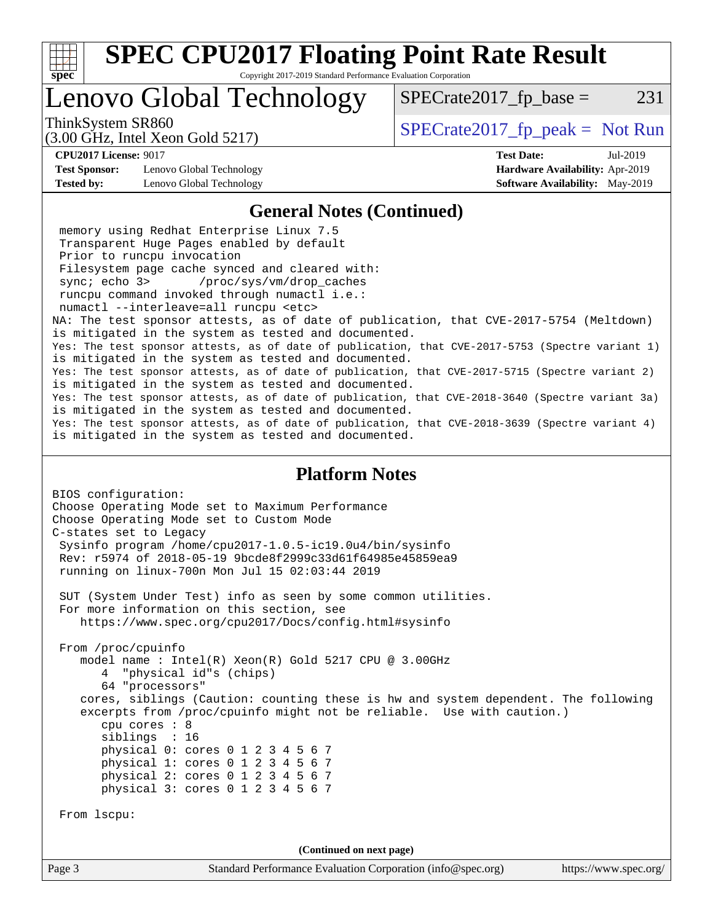

Copyright 2017-2019 Standard Performance Evaluation Corporation

# Lenovo Global Technology

ThinkSystem SR860<br>  $S$ PECrate2017\_fp\_peak = Not Run

 $SPECTate2017<sub>fr</sub> base = 231$ 

(3.00 GHz, Intel Xeon Gold 5217)

**[Test Sponsor:](http://www.spec.org/auto/cpu2017/Docs/result-fields.html#TestSponsor)** Lenovo Global Technology **[Hardware Availability:](http://www.spec.org/auto/cpu2017/Docs/result-fields.html#HardwareAvailability)** Apr-2019

**[CPU2017 License:](http://www.spec.org/auto/cpu2017/Docs/result-fields.html#CPU2017License)** 9017 **[Test Date:](http://www.spec.org/auto/cpu2017/Docs/result-fields.html#TestDate)** Jul-2019 **[Tested by:](http://www.spec.org/auto/cpu2017/Docs/result-fields.html#Testedby)** Lenovo Global Technology **[Software Availability:](http://www.spec.org/auto/cpu2017/Docs/result-fields.html#SoftwareAvailability)** May-2019

#### **[General Notes \(Continued\)](http://www.spec.org/auto/cpu2017/Docs/result-fields.html#GeneralNotes)**

 memory using Redhat Enterprise Linux 7.5 Transparent Huge Pages enabled by default Prior to runcpu invocation Filesystem page cache synced and cleared with: sync; echo 3> /proc/sys/vm/drop\_caches runcpu command invoked through numactl i.e.: numactl --interleave=all runcpu <etc> NA: The test sponsor attests, as of date of publication, that CVE-2017-5754 (Meltdown) is mitigated in the system as tested and documented. Yes: The test sponsor attests, as of date of publication, that CVE-2017-5753 (Spectre variant 1) is mitigated in the system as tested and documented. Yes: The test sponsor attests, as of date of publication, that CVE-2017-5715 (Spectre variant 2) is mitigated in the system as tested and documented. Yes: The test sponsor attests, as of date of publication, that CVE-2018-3640 (Spectre variant 3a) is mitigated in the system as tested and documented. Yes: The test sponsor attests, as of date of publication, that CVE-2018-3639 (Spectre variant 4) is mitigated in the system as tested and documented.

#### **[Platform Notes](http://www.spec.org/auto/cpu2017/Docs/result-fields.html#PlatformNotes)**

```
BIOS configuration:
Choose Operating Mode set to Maximum Performance
Choose Operating Mode set to Custom Mode
C-states set to Legacy
  Sysinfo program /home/cpu2017-1.0.5-ic19.0u4/bin/sysinfo
  Rev: r5974 of 2018-05-19 9bcde8f2999c33d61f64985e45859ea9
  running on linux-700n Mon Jul 15 02:03:44 2019
  SUT (System Under Test) info as seen by some common utilities.
  For more information on this section, see
     https://www.spec.org/cpu2017/Docs/config.html#sysinfo
  From /proc/cpuinfo
     model name : Intel(R) Xeon(R) Gold 5217 CPU @ 3.00GHz
        4 "physical id"s (chips)
        64 "processors"
     cores, siblings (Caution: counting these is hw and system dependent. The following
     excerpts from /proc/cpuinfo might not be reliable. Use with caution.)
        cpu cores : 8
        siblings : 16
        physical 0: cores 0 1 2 3 4 5 6 7
        physical 1: cores 0 1 2 3 4 5 6 7
        physical 2: cores 0 1 2 3 4 5 6 7
        physical 3: cores 0 1 2 3 4 5 6 7
  From lscpu:
                                    (Continued on next page)
```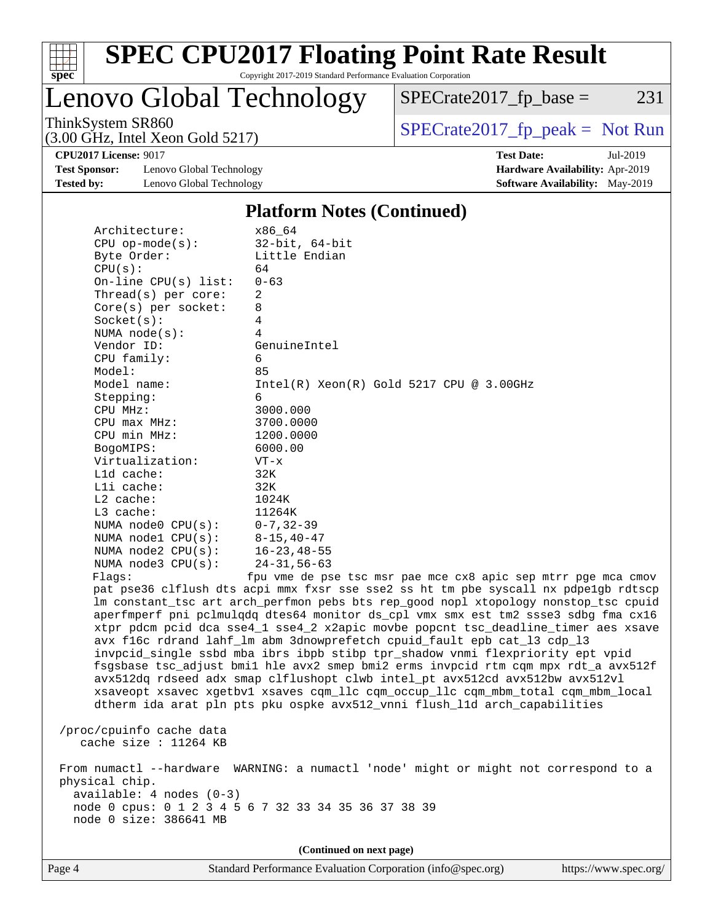

Copyright 2017-2019 Standard Performance Evaluation Corporation

Lenovo Global Technology

ThinkSystem SR860<br>  $(3.00 \text{ GHz})$  Intel Yeon Gold 5217)

 $SPECrate2017_fp\_base = 231$ 

(3.00 GHz, Intel Xeon Gold 5217)

**[Test Sponsor:](http://www.spec.org/auto/cpu2017/Docs/result-fields.html#TestSponsor)** Lenovo Global Technology **[Hardware Availability:](http://www.spec.org/auto/cpu2017/Docs/result-fields.html#HardwareAvailability)** Apr-2019 **[Tested by:](http://www.spec.org/auto/cpu2017/Docs/result-fields.html#Testedby)** Lenovo Global Technology **[Software Availability:](http://www.spec.org/auto/cpu2017/Docs/result-fields.html#SoftwareAvailability)** May-2019

**[CPU2017 License:](http://www.spec.org/auto/cpu2017/Docs/result-fields.html#CPU2017License)** 9017 **[Test Date:](http://www.spec.org/auto/cpu2017/Docs/result-fields.html#TestDate)** Jul-2019

#### **[Platform Notes \(Continued\)](http://www.spec.org/auto/cpu2017/Docs/result-fields.html#PlatformNotes)**

| Architecture:                                     | x86 64                                                                               |
|---------------------------------------------------|--------------------------------------------------------------------------------------|
| $CPU$ op-mode( $s$ ):                             | $32$ -bit, $64$ -bit                                                                 |
| Byte Order:                                       | Little Endian                                                                        |
| CPU(s):                                           | 64                                                                                   |
| On-line CPU(s) list:                              | $0 - 63$                                                                             |
| Thread(s) per core:                               | $\overline{a}$                                                                       |
| Core(s) per socket:                               | 8                                                                                    |
| Socket(s):                                        | 4                                                                                    |
| NUMA $node(s)$ :                                  | 4                                                                                    |
| Vendor ID:                                        | GenuineIntel                                                                         |
| CPU family:                                       | 6                                                                                    |
| Model:                                            | 85                                                                                   |
| Model name:                                       | $Intel(R) Xeon(R) Gold 5217 CPU @ 3.00GHz$                                           |
| Stepping:                                         | 6                                                                                    |
| CPU MHz:                                          | 3000.000                                                                             |
| CPU max MHz:                                      | 3700.0000                                                                            |
| CPU min MHz:                                      | 1200.0000                                                                            |
| BogoMIPS:                                         | 6000.00                                                                              |
| Virtualization:                                   | $VT - x$                                                                             |
| L1d cache:                                        | 32K                                                                                  |
| Lli cache:                                        | 32K                                                                                  |
| $L2$ cache:                                       | 1024K                                                                                |
| L3 cache:                                         | 11264K                                                                               |
| NUMA node0 CPU(s):                                | $0 - 7, 32 - 39$                                                                     |
| NUMA $node1$ $CPU(s):$                            | $8 - 15, 40 - 47$                                                                    |
| NUMA $node2$ $CPU(s)$ :                           | $16 - 23, 48 - 55$                                                                   |
| NUMA node3 CPU(s):                                | $24 - 31, 56 - 63$                                                                   |
| Flaqs:                                            | fpu vme de pse tsc msr pae mce cx8 apic sep mtrr pge mca cmov                        |
|                                                   | pat pse36 clflush dts acpi mmx fxsr sse sse2 ss ht tm pbe syscall nx pdpelgb rdtscp  |
|                                                   | lm constant_tsc art arch_perfmon pebs bts rep_good nopl xtopology nonstop_tsc cpuid  |
|                                                   | aperfmperf pni pclmulqdq dtes64 monitor ds_cpl vmx smx est tm2 ssse3 sdbg fma cx16   |
|                                                   | xtpr pdcm pcid dca sse4_1 sse4_2 x2apic movbe popcnt tsc_deadline_timer aes xsave    |
|                                                   | avx f16c rdrand lahf_lm abm 3dnowprefetch cpuid_fault epb cat_13 cdp_13              |
|                                                   | invpcid_single ssbd mba ibrs ibpb stibp tpr_shadow vnmi flexpriority ept vpid        |
|                                                   | fsgsbase tsc_adjust bmil hle avx2 smep bmi2 erms invpcid rtm cqm mpx rdt_a avx512f   |
|                                                   | avx512dq rdseed adx smap clflushopt clwb intel_pt avx512cd avx512bw avx512vl         |
|                                                   | xsaveopt xsavec xgetbvl xsaves cqm_llc cqm_occup_llc cqm_mbm_total cqm_mbm_local     |
|                                                   | dtherm ida arat pln pts pku ospke avx512_vnni flush_lld arch_capabilities            |
|                                                   |                                                                                      |
| /proc/cpuinfo cache data<br>cache size : 11264 KB |                                                                                      |
|                                                   |                                                                                      |
|                                                   | From numactl --hardware WARNING: a numactl 'node' might or might not correspond to a |
| physical chip.                                    |                                                                                      |
| $available: 4 nodes (0-3)$                        |                                                                                      |
|                                                   | node 0 cpus: 0 1 2 3 4 5 6 7 32 33 34 35 36 37 38 39                                 |
| node 0 size: 386641 MB                            |                                                                                      |
|                                                   |                                                                                      |
|                                                   | (Continued on next page)                                                             |
|                                                   |                                                                                      |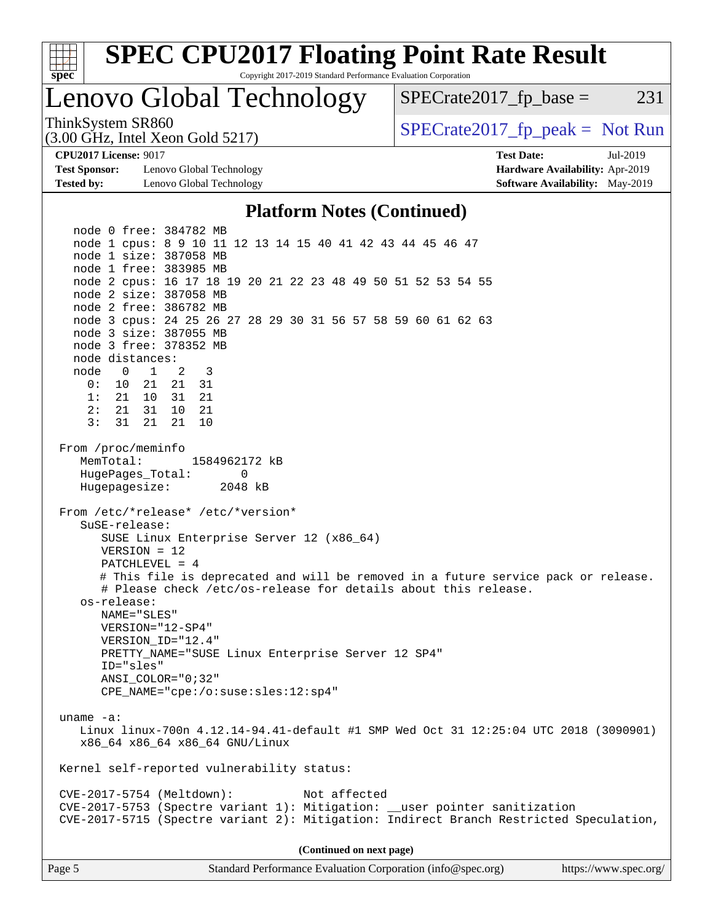

**(Continued on next page)**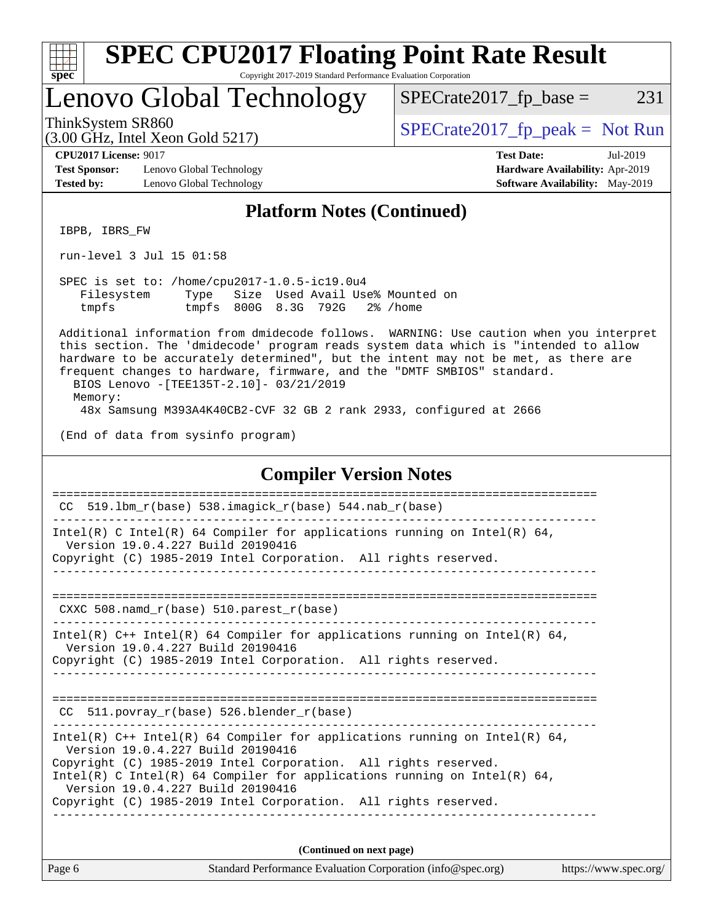| S<br>c | Ü | E | Ľ |  |
|--------|---|---|---|--|

Copyright 2017-2019 Standard Performance Evaluation Corporation

# Lenovo Global Technology

ThinkSystem SR860<br>  $(3.00 \text{ GHz. Intel Yoon Gold } 5217)$  [SPECrate2017\\_fp\\_peak =](http://www.spec.org/auto/cpu2017/Docs/result-fields.html#SPECrate2017fppeak) Not Run

 $SPECTate2017<sub>fr</sub> base = 231$ 

(3.00 GHz, Intel Xeon Gold 5217)

**[Test Sponsor:](http://www.spec.org/auto/cpu2017/Docs/result-fields.html#TestSponsor)** Lenovo Global Technology **[Hardware Availability:](http://www.spec.org/auto/cpu2017/Docs/result-fields.html#HardwareAvailability)** Apr-2019 **[Tested by:](http://www.spec.org/auto/cpu2017/Docs/result-fields.html#Testedby)** Lenovo Global Technology **[Software Availability:](http://www.spec.org/auto/cpu2017/Docs/result-fields.html#SoftwareAvailability)** May-2019

**[CPU2017 License:](http://www.spec.org/auto/cpu2017/Docs/result-fields.html#CPU2017License)** 9017 **[Test Date:](http://www.spec.org/auto/cpu2017/Docs/result-fields.html#TestDate)** Jul-2019

#### **[Platform Notes \(Continued\)](http://www.spec.org/auto/cpu2017/Docs/result-fields.html#PlatformNotes)**

IBPB, IBRS\_FW

run-level 3 Jul 15 01:58

 SPEC is set to: /home/cpu2017-1.0.5-ic19.0u4 Filesystem Type Size Used Avail Use% Mounted on tmpfs tmpfs 800G 8.3G 792G 2% /home

 Additional information from dmidecode follows. WARNING: Use caution when you interpret this section. The 'dmidecode' program reads system data which is "intended to allow hardware to be accurately determined", but the intent may not be met, as there are frequent changes to hardware, firmware, and the "DMTF SMBIOS" standard. BIOS Lenovo -[TEE135T-2.10]- 03/21/2019

Memory:

48x Samsung M393A4K40CB2-CVF 32 GB 2 rank 2933, configured at 2666

(End of data from sysinfo program)

#### **[Compiler Version Notes](http://www.spec.org/auto/cpu2017/Docs/result-fields.html#CompilerVersionNotes)**

| Page 6 |                                                                                                                                                                                                                                                                                                                                                                          | Standard Performance Evaluation Corporation (info@spec.org) | https://www.spec.org |
|--------|--------------------------------------------------------------------------------------------------------------------------------------------------------------------------------------------------------------------------------------------------------------------------------------------------------------------------------------------------------------------------|-------------------------------------------------------------|----------------------|
|        |                                                                                                                                                                                                                                                                                                                                                                          | (Continued on next page)                                    |                      |
|        | Intel(R) $C++$ Intel(R) 64 Compiler for applications running on Intel(R) 64,<br>Version 19.0.4.227 Build 20190416<br>Copyright (C) 1985-2019 Intel Corporation. All rights reserved.<br>Intel(R) C Intel(R) 64 Compiler for applications running on Intel(R) 64,<br>Version 19.0.4.227 Build 20190416<br>Copyright (C) 1985-2019 Intel Corporation. All rights reserved. |                                                             |                      |
|        | CC 511. povray $r(base)$ 526. blender $r(base)$                                                                                                                                                                                                                                                                                                                          |                                                             |                      |
|        | Intel(R) $C++$ Intel(R) 64 Compiler for applications running on Intel(R) 64,<br>Version 19.0.4.227 Build 20190416<br>Copyright (C) 1985-2019 Intel Corporation. All rights reserved.                                                                                                                                                                                     |                                                             |                      |
|        | CXXC 508. namd $r(base)$ 510. parest $r(base)$                                                                                                                                                                                                                                                                                                                           |                                                             |                      |
|        | Copyright (C) 1985-2019 Intel Corporation. All rights reserved.                                                                                                                                                                                                                                                                                                          |                                                             |                      |
|        | Intel(R) C Intel(R) 64 Compiler for applications running on Intel(R) 64,<br>Version 19.0.4.227 Build 20190416                                                                                                                                                                                                                                                            |                                                             |                      |
| CC     | 519.1bm $r(base)$ 538.imagick $r(base)$ 544.nab $r(base)$                                                                                                                                                                                                                                                                                                                |                                                             |                      |
|        |                                                                                                                                                                                                                                                                                                                                                                          |                                                             |                      |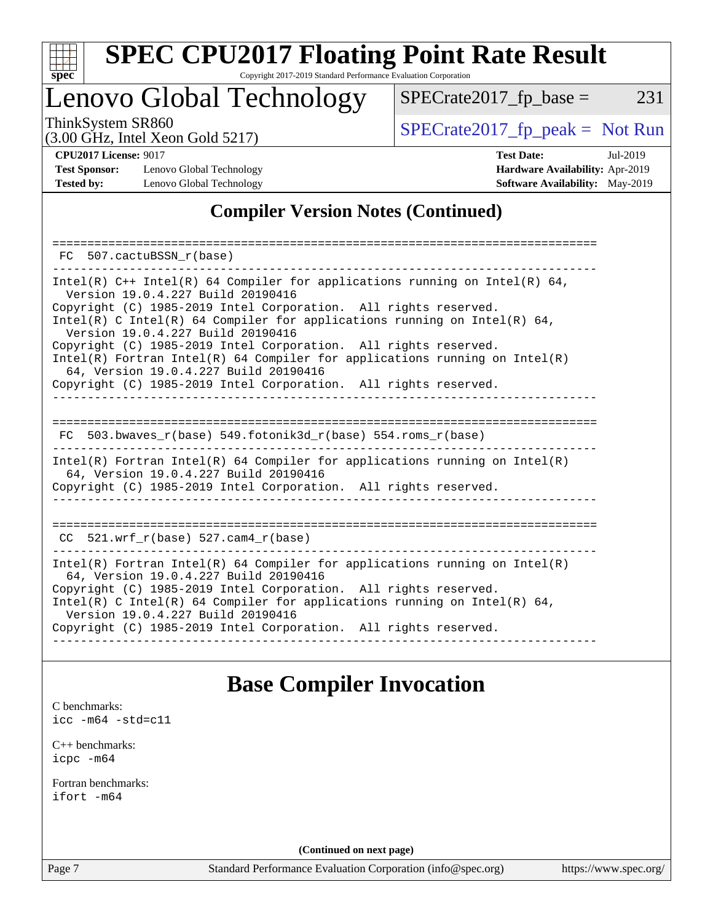

Copyright 2017-2019 Standard Performance Evaluation Corporation

## Lenovo Global Technology

ThinkSystem SR860<br>  $(3.00 \text{ GHz. Intel Yoon Gold } 5217)$  [SPECrate2017\\_fp\\_peak =](http://www.spec.org/auto/cpu2017/Docs/result-fields.html#SPECrate2017fppeak) Not Run

 $SPECTate2017_fp\_base = 231$ 

(3.00 GHz, Intel Xeon Gold 5217)

**[CPU2017 License:](http://www.spec.org/auto/cpu2017/Docs/result-fields.html#CPU2017License)** 9017 **[Test Date:](http://www.spec.org/auto/cpu2017/Docs/result-fields.html#TestDate)** Jul-2019 **[Test Sponsor:](http://www.spec.org/auto/cpu2017/Docs/result-fields.html#TestSponsor)** Lenovo Global Technology **[Hardware Availability:](http://www.spec.org/auto/cpu2017/Docs/result-fields.html#HardwareAvailability)** Apr-2019 **[Tested by:](http://www.spec.org/auto/cpu2017/Docs/result-fields.html#Testedby)** Lenovo Global Technology **[Software Availability:](http://www.spec.org/auto/cpu2017/Docs/result-fields.html#SoftwareAvailability)** May-2019

#### **[Compiler Version Notes \(Continued\)](http://www.spec.org/auto/cpu2017/Docs/result-fields.html#CompilerVersionNotes)**

| 507.cactuBSSN r(base)<br>FC.                                                                                                                                                                                                                                                                                                                                                                                                                                                                                                                                       |
|--------------------------------------------------------------------------------------------------------------------------------------------------------------------------------------------------------------------------------------------------------------------------------------------------------------------------------------------------------------------------------------------------------------------------------------------------------------------------------------------------------------------------------------------------------------------|
| Intel(R) $C++$ Intel(R) 64 Compiler for applications running on Intel(R) 64,<br>Version 19.0.4.227 Build 20190416<br>Copyright (C) 1985-2019 Intel Corporation. All rights reserved.<br>Intel(R) C Intel(R) 64 Compiler for applications running on Intel(R) 64,<br>Version 19.0.4.227 Build 20190416<br>Copyright (C) 1985-2019 Intel Corporation. All rights reserved.<br>Intel(R) Fortran Intel(R) 64 Compiler for applications running on Intel(R)<br>64, Version 19.0.4.227 Build 20190416<br>Copyright (C) 1985-2019 Intel Corporation. All rights reserved. |
| 503.bwaves r(base) 549.fotonik3d r(base) 554.roms r(base)<br>FC.                                                                                                                                                                                                                                                                                                                                                                                                                                                                                                   |
| $Intel(R)$ Fortran Intel(R) 64 Compiler for applications running on Intel(R)<br>64, Version 19.0.4.227 Build 20190416<br>Copyright (C) 1985-2019 Intel Corporation. All rights reserved.                                                                                                                                                                                                                                                                                                                                                                           |
| $CC$ 521.wrf_r(base) 527.cam4_r(base)                                                                                                                                                                                                                                                                                                                                                                                                                                                                                                                              |
| $Intel(R)$ Fortran Intel(R) 64 Compiler for applications running on Intel(R)<br>64, Version 19.0.4.227 Build 20190416<br>Copyright (C) 1985-2019 Intel Corporation. All rights reserved.<br>Intel(R) C Intel(R) 64 Compiler for applications running on Intel(R) 64,<br>Version 19.0.4.227 Build 20190416<br>Copyright (C) 1985-2019 Intel Corporation. All rights reserved.                                                                                                                                                                                       |

### **[Base Compiler Invocation](http://www.spec.org/auto/cpu2017/Docs/result-fields.html#BaseCompilerInvocation)**

[C benchmarks](http://www.spec.org/auto/cpu2017/Docs/result-fields.html#Cbenchmarks): [icc -m64 -std=c11](http://www.spec.org/cpu2017/results/res2019q3/cpu2017-20190805-16638.flags.html#user_CCbase_intel_icc_64bit_c11_33ee0cdaae7deeeab2a9725423ba97205ce30f63b9926c2519791662299b76a0318f32ddfffdc46587804de3178b4f9328c46fa7c2b0cd779d7a61945c91cd35)

[C++ benchmarks:](http://www.spec.org/auto/cpu2017/Docs/result-fields.html#CXXbenchmarks) [icpc -m64](http://www.spec.org/cpu2017/results/res2019q3/cpu2017-20190805-16638.flags.html#user_CXXbase_intel_icpc_64bit_4ecb2543ae3f1412ef961e0650ca070fec7b7afdcd6ed48761b84423119d1bf6bdf5cad15b44d48e7256388bc77273b966e5eb805aefd121eb22e9299b2ec9d9)

[Fortran benchmarks](http://www.spec.org/auto/cpu2017/Docs/result-fields.html#Fortranbenchmarks): [ifort -m64](http://www.spec.org/cpu2017/results/res2019q3/cpu2017-20190805-16638.flags.html#user_FCbase_intel_ifort_64bit_24f2bb282fbaeffd6157abe4f878425411749daecae9a33200eee2bee2fe76f3b89351d69a8130dd5949958ce389cf37ff59a95e7a40d588e8d3a57e0c3fd751)

**(Continued on next page)**

Page 7 Standard Performance Evaluation Corporation [\(info@spec.org\)](mailto:info@spec.org) <https://www.spec.org/>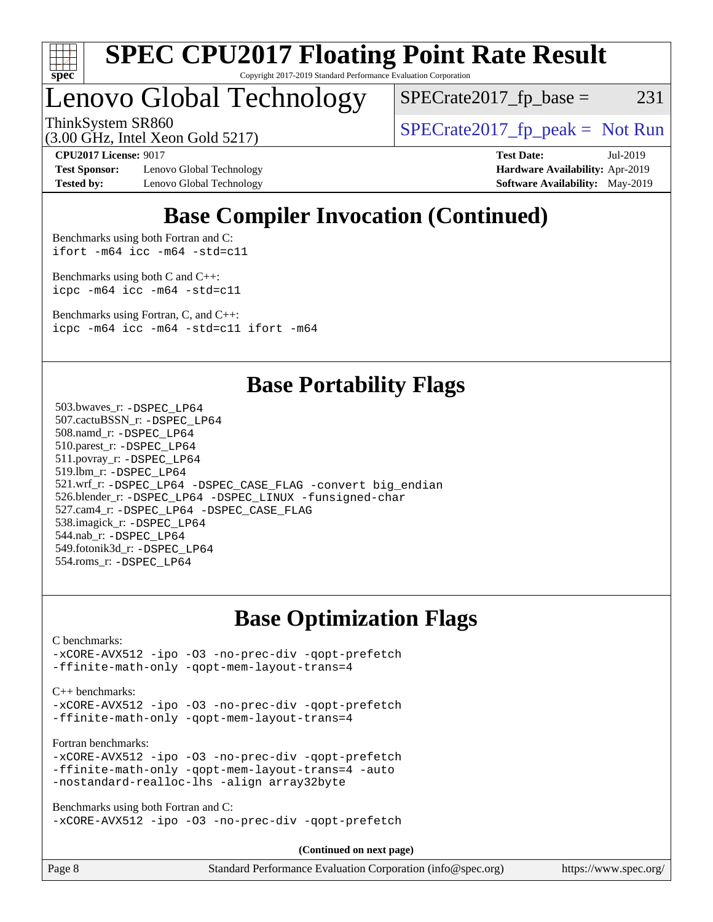

#### **[SPEC CPU2017 Floating Point Rate Result](http://www.spec.org/auto/cpu2017/Docs/result-fields.html#SPECCPU2017FloatingPointRateResult)** Copyright 2017-2019 Standard Performance Evaluation Corporation

# Lenovo Global Technology

 $SPECTate2017<sub>fr</sub> base = 231$ 

(3.00 GHz, Intel Xeon Gold 5217)

ThinkSystem SR860<br>  $SPECrate2017$  fp\_peak = Not Run

**[Test Sponsor:](http://www.spec.org/auto/cpu2017/Docs/result-fields.html#TestSponsor)** Lenovo Global Technology **[Hardware Availability:](http://www.spec.org/auto/cpu2017/Docs/result-fields.html#HardwareAvailability)** Apr-2019 **[Tested by:](http://www.spec.org/auto/cpu2017/Docs/result-fields.html#Testedby)** Lenovo Global Technology **[Software Availability:](http://www.spec.org/auto/cpu2017/Docs/result-fields.html#SoftwareAvailability)** May-2019

**[CPU2017 License:](http://www.spec.org/auto/cpu2017/Docs/result-fields.html#CPU2017License)** 9017 **[Test Date:](http://www.spec.org/auto/cpu2017/Docs/result-fields.html#TestDate)** Jul-2019

## **[Base Compiler Invocation \(Continued\)](http://www.spec.org/auto/cpu2017/Docs/result-fields.html#BaseCompilerInvocation)**

[Benchmarks using both Fortran and C](http://www.spec.org/auto/cpu2017/Docs/result-fields.html#BenchmarksusingbothFortranandC): [ifort -m64](http://www.spec.org/cpu2017/results/res2019q3/cpu2017-20190805-16638.flags.html#user_CC_FCbase_intel_ifort_64bit_24f2bb282fbaeffd6157abe4f878425411749daecae9a33200eee2bee2fe76f3b89351d69a8130dd5949958ce389cf37ff59a95e7a40d588e8d3a57e0c3fd751) [icc -m64 -std=c11](http://www.spec.org/cpu2017/results/res2019q3/cpu2017-20190805-16638.flags.html#user_CC_FCbase_intel_icc_64bit_c11_33ee0cdaae7deeeab2a9725423ba97205ce30f63b9926c2519791662299b76a0318f32ddfffdc46587804de3178b4f9328c46fa7c2b0cd779d7a61945c91cd35)

[Benchmarks using both C and C++](http://www.spec.org/auto/cpu2017/Docs/result-fields.html#BenchmarksusingbothCandCXX): [icpc -m64](http://www.spec.org/cpu2017/results/res2019q3/cpu2017-20190805-16638.flags.html#user_CC_CXXbase_intel_icpc_64bit_4ecb2543ae3f1412ef961e0650ca070fec7b7afdcd6ed48761b84423119d1bf6bdf5cad15b44d48e7256388bc77273b966e5eb805aefd121eb22e9299b2ec9d9) [icc -m64 -std=c11](http://www.spec.org/cpu2017/results/res2019q3/cpu2017-20190805-16638.flags.html#user_CC_CXXbase_intel_icc_64bit_c11_33ee0cdaae7deeeab2a9725423ba97205ce30f63b9926c2519791662299b76a0318f32ddfffdc46587804de3178b4f9328c46fa7c2b0cd779d7a61945c91cd35)

[Benchmarks using Fortran, C, and C++:](http://www.spec.org/auto/cpu2017/Docs/result-fields.html#BenchmarksusingFortranCandCXX) [icpc -m64](http://www.spec.org/cpu2017/results/res2019q3/cpu2017-20190805-16638.flags.html#user_CC_CXX_FCbase_intel_icpc_64bit_4ecb2543ae3f1412ef961e0650ca070fec7b7afdcd6ed48761b84423119d1bf6bdf5cad15b44d48e7256388bc77273b966e5eb805aefd121eb22e9299b2ec9d9) [icc -m64 -std=c11](http://www.spec.org/cpu2017/results/res2019q3/cpu2017-20190805-16638.flags.html#user_CC_CXX_FCbase_intel_icc_64bit_c11_33ee0cdaae7deeeab2a9725423ba97205ce30f63b9926c2519791662299b76a0318f32ddfffdc46587804de3178b4f9328c46fa7c2b0cd779d7a61945c91cd35) [ifort -m64](http://www.spec.org/cpu2017/results/res2019q3/cpu2017-20190805-16638.flags.html#user_CC_CXX_FCbase_intel_ifort_64bit_24f2bb282fbaeffd6157abe4f878425411749daecae9a33200eee2bee2fe76f3b89351d69a8130dd5949958ce389cf37ff59a95e7a40d588e8d3a57e0c3fd751)

### **[Base Portability Flags](http://www.spec.org/auto/cpu2017/Docs/result-fields.html#BasePortabilityFlags)**

 503.bwaves\_r: [-DSPEC\\_LP64](http://www.spec.org/cpu2017/results/res2019q3/cpu2017-20190805-16638.flags.html#suite_basePORTABILITY503_bwaves_r_DSPEC_LP64) 507.cactuBSSN\_r: [-DSPEC\\_LP64](http://www.spec.org/cpu2017/results/res2019q3/cpu2017-20190805-16638.flags.html#suite_basePORTABILITY507_cactuBSSN_r_DSPEC_LP64) 508.namd\_r: [-DSPEC\\_LP64](http://www.spec.org/cpu2017/results/res2019q3/cpu2017-20190805-16638.flags.html#suite_basePORTABILITY508_namd_r_DSPEC_LP64) 510.parest\_r: [-DSPEC\\_LP64](http://www.spec.org/cpu2017/results/res2019q3/cpu2017-20190805-16638.flags.html#suite_basePORTABILITY510_parest_r_DSPEC_LP64) 511.povray\_r: [-DSPEC\\_LP64](http://www.spec.org/cpu2017/results/res2019q3/cpu2017-20190805-16638.flags.html#suite_basePORTABILITY511_povray_r_DSPEC_LP64) 519.lbm\_r: [-DSPEC\\_LP64](http://www.spec.org/cpu2017/results/res2019q3/cpu2017-20190805-16638.flags.html#suite_basePORTABILITY519_lbm_r_DSPEC_LP64) 521.wrf\_r: [-DSPEC\\_LP64](http://www.spec.org/cpu2017/results/res2019q3/cpu2017-20190805-16638.flags.html#suite_basePORTABILITY521_wrf_r_DSPEC_LP64) [-DSPEC\\_CASE\\_FLAG](http://www.spec.org/cpu2017/results/res2019q3/cpu2017-20190805-16638.flags.html#b521.wrf_r_baseCPORTABILITY_DSPEC_CASE_FLAG) [-convert big\\_endian](http://www.spec.org/cpu2017/results/res2019q3/cpu2017-20190805-16638.flags.html#user_baseFPORTABILITY521_wrf_r_convert_big_endian_c3194028bc08c63ac5d04de18c48ce6d347e4e562e8892b8bdbdc0214820426deb8554edfa529a3fb25a586e65a3d812c835984020483e7e73212c4d31a38223) 526.blender\_r: [-DSPEC\\_LP64](http://www.spec.org/cpu2017/results/res2019q3/cpu2017-20190805-16638.flags.html#suite_basePORTABILITY526_blender_r_DSPEC_LP64) [-DSPEC\\_LINUX](http://www.spec.org/cpu2017/results/res2019q3/cpu2017-20190805-16638.flags.html#b526.blender_r_baseCPORTABILITY_DSPEC_LINUX) [-funsigned-char](http://www.spec.org/cpu2017/results/res2019q3/cpu2017-20190805-16638.flags.html#user_baseCPORTABILITY526_blender_r_force_uchar_40c60f00ab013830e2dd6774aeded3ff59883ba5a1fc5fc14077f794d777847726e2a5858cbc7672e36e1b067e7e5c1d9a74f7176df07886a243d7cc18edfe67) 527.cam4\_r: [-DSPEC\\_LP64](http://www.spec.org/cpu2017/results/res2019q3/cpu2017-20190805-16638.flags.html#suite_basePORTABILITY527_cam4_r_DSPEC_LP64) [-DSPEC\\_CASE\\_FLAG](http://www.spec.org/cpu2017/results/res2019q3/cpu2017-20190805-16638.flags.html#b527.cam4_r_baseCPORTABILITY_DSPEC_CASE_FLAG) 538.imagick\_r: [-DSPEC\\_LP64](http://www.spec.org/cpu2017/results/res2019q3/cpu2017-20190805-16638.flags.html#suite_basePORTABILITY538_imagick_r_DSPEC_LP64) 544.nab\_r: [-DSPEC\\_LP64](http://www.spec.org/cpu2017/results/res2019q3/cpu2017-20190805-16638.flags.html#suite_basePORTABILITY544_nab_r_DSPEC_LP64) 549.fotonik3d\_r: [-DSPEC\\_LP64](http://www.spec.org/cpu2017/results/res2019q3/cpu2017-20190805-16638.flags.html#suite_basePORTABILITY549_fotonik3d_r_DSPEC_LP64) 554.roms\_r: [-DSPEC\\_LP64](http://www.spec.org/cpu2017/results/res2019q3/cpu2017-20190805-16638.flags.html#suite_basePORTABILITY554_roms_r_DSPEC_LP64)

### **[Base Optimization Flags](http://www.spec.org/auto/cpu2017/Docs/result-fields.html#BaseOptimizationFlags)**

[C benchmarks](http://www.spec.org/auto/cpu2017/Docs/result-fields.html#Cbenchmarks):

[-xCORE-AVX512](http://www.spec.org/cpu2017/results/res2019q3/cpu2017-20190805-16638.flags.html#user_CCbase_f-xCORE-AVX512) [-ipo](http://www.spec.org/cpu2017/results/res2019q3/cpu2017-20190805-16638.flags.html#user_CCbase_f-ipo) [-O3](http://www.spec.org/cpu2017/results/res2019q3/cpu2017-20190805-16638.flags.html#user_CCbase_f-O3) [-no-prec-div](http://www.spec.org/cpu2017/results/res2019q3/cpu2017-20190805-16638.flags.html#user_CCbase_f-no-prec-div) [-qopt-prefetch](http://www.spec.org/cpu2017/results/res2019q3/cpu2017-20190805-16638.flags.html#user_CCbase_f-qopt-prefetch) [-ffinite-math-only](http://www.spec.org/cpu2017/results/res2019q3/cpu2017-20190805-16638.flags.html#user_CCbase_f_finite_math_only_cb91587bd2077682c4b38af759c288ed7c732db004271a9512da14a4f8007909a5f1427ecbf1a0fb78ff2a814402c6114ac565ca162485bbcae155b5e4258871) [-qopt-mem-layout-trans=4](http://www.spec.org/cpu2017/results/res2019q3/cpu2017-20190805-16638.flags.html#user_CCbase_f-qopt-mem-layout-trans_fa39e755916c150a61361b7846f310bcdf6f04e385ef281cadf3647acec3f0ae266d1a1d22d972a7087a248fd4e6ca390a3634700869573d231a252c784941a8)

[C++ benchmarks:](http://www.spec.org/auto/cpu2017/Docs/result-fields.html#CXXbenchmarks)

[-xCORE-AVX512](http://www.spec.org/cpu2017/results/res2019q3/cpu2017-20190805-16638.flags.html#user_CXXbase_f-xCORE-AVX512) [-ipo](http://www.spec.org/cpu2017/results/res2019q3/cpu2017-20190805-16638.flags.html#user_CXXbase_f-ipo) [-O3](http://www.spec.org/cpu2017/results/res2019q3/cpu2017-20190805-16638.flags.html#user_CXXbase_f-O3) [-no-prec-div](http://www.spec.org/cpu2017/results/res2019q3/cpu2017-20190805-16638.flags.html#user_CXXbase_f-no-prec-div) [-qopt-prefetch](http://www.spec.org/cpu2017/results/res2019q3/cpu2017-20190805-16638.flags.html#user_CXXbase_f-qopt-prefetch) [-ffinite-math-only](http://www.spec.org/cpu2017/results/res2019q3/cpu2017-20190805-16638.flags.html#user_CXXbase_f_finite_math_only_cb91587bd2077682c4b38af759c288ed7c732db004271a9512da14a4f8007909a5f1427ecbf1a0fb78ff2a814402c6114ac565ca162485bbcae155b5e4258871) [-qopt-mem-layout-trans=4](http://www.spec.org/cpu2017/results/res2019q3/cpu2017-20190805-16638.flags.html#user_CXXbase_f-qopt-mem-layout-trans_fa39e755916c150a61361b7846f310bcdf6f04e385ef281cadf3647acec3f0ae266d1a1d22d972a7087a248fd4e6ca390a3634700869573d231a252c784941a8)

[Fortran benchmarks](http://www.spec.org/auto/cpu2017/Docs/result-fields.html#Fortranbenchmarks):

[-xCORE-AVX512](http://www.spec.org/cpu2017/results/res2019q3/cpu2017-20190805-16638.flags.html#user_FCbase_f-xCORE-AVX512) [-ipo](http://www.spec.org/cpu2017/results/res2019q3/cpu2017-20190805-16638.flags.html#user_FCbase_f-ipo) [-O3](http://www.spec.org/cpu2017/results/res2019q3/cpu2017-20190805-16638.flags.html#user_FCbase_f-O3) [-no-prec-div](http://www.spec.org/cpu2017/results/res2019q3/cpu2017-20190805-16638.flags.html#user_FCbase_f-no-prec-div) [-qopt-prefetch](http://www.spec.org/cpu2017/results/res2019q3/cpu2017-20190805-16638.flags.html#user_FCbase_f-qopt-prefetch) [-ffinite-math-only](http://www.spec.org/cpu2017/results/res2019q3/cpu2017-20190805-16638.flags.html#user_FCbase_f_finite_math_only_cb91587bd2077682c4b38af759c288ed7c732db004271a9512da14a4f8007909a5f1427ecbf1a0fb78ff2a814402c6114ac565ca162485bbcae155b5e4258871) [-qopt-mem-layout-trans=4](http://www.spec.org/cpu2017/results/res2019q3/cpu2017-20190805-16638.flags.html#user_FCbase_f-qopt-mem-layout-trans_fa39e755916c150a61361b7846f310bcdf6f04e385ef281cadf3647acec3f0ae266d1a1d22d972a7087a248fd4e6ca390a3634700869573d231a252c784941a8) [-auto](http://www.spec.org/cpu2017/results/res2019q3/cpu2017-20190805-16638.flags.html#user_FCbase_f-auto) [-nostandard-realloc-lhs](http://www.spec.org/cpu2017/results/res2019q3/cpu2017-20190805-16638.flags.html#user_FCbase_f_2003_std_realloc_82b4557e90729c0f113870c07e44d33d6f5a304b4f63d4c15d2d0f1fab99f5daaed73bdb9275d9ae411527f28b936061aa8b9c8f2d63842963b95c9dd6426b8a) [-align array32byte](http://www.spec.org/cpu2017/results/res2019q3/cpu2017-20190805-16638.flags.html#user_FCbase_align_array32byte_b982fe038af199962ba9a80c053b8342c548c85b40b8e86eb3cc33dee0d7986a4af373ac2d51c3f7cf710a18d62fdce2948f201cd044323541f22fc0fffc51b6)

[Benchmarks using both Fortran and C](http://www.spec.org/auto/cpu2017/Docs/result-fields.html#BenchmarksusingbothFortranandC): [-xCORE-AVX512](http://www.spec.org/cpu2017/results/res2019q3/cpu2017-20190805-16638.flags.html#user_CC_FCbase_f-xCORE-AVX512) [-ipo](http://www.spec.org/cpu2017/results/res2019q3/cpu2017-20190805-16638.flags.html#user_CC_FCbase_f-ipo) [-O3](http://www.spec.org/cpu2017/results/res2019q3/cpu2017-20190805-16638.flags.html#user_CC_FCbase_f-O3) [-no-prec-div](http://www.spec.org/cpu2017/results/res2019q3/cpu2017-20190805-16638.flags.html#user_CC_FCbase_f-no-prec-div) [-qopt-prefetch](http://www.spec.org/cpu2017/results/res2019q3/cpu2017-20190805-16638.flags.html#user_CC_FCbase_f-qopt-prefetch)

**(Continued on next page)**

Page 8 Standard Performance Evaluation Corporation [\(info@spec.org\)](mailto:info@spec.org) <https://www.spec.org/>